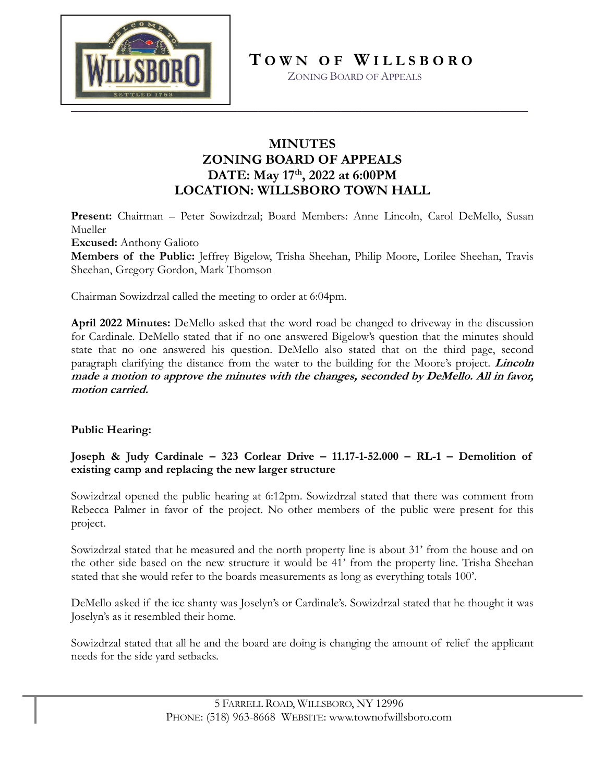

**T O W N O F W I L L S B O R O**

ZONING BOARD OF APPEALS

# **MINUTES ZONING BOARD OF APPEALS DATE: May 17th , 2022 at 6:00PM LOCATION: WILLSBORO TOWN HALL**

**Present:** Chairman – Peter Sowizdrzal; Board Members: Anne Lincoln, Carol DeMello, Susan Mueller **Excused:** Anthony Galioto

**Members of the Public:** Jeffrey Bigelow, Trisha Sheehan, Philip Moore, Lorilee Sheehan, Travis Sheehan, Gregory Gordon, Mark Thomson

Chairman Sowizdrzal called the meeting to order at 6:04pm.

**April 2022 Minutes:** DeMello asked that the word road be changed to driveway in the discussion for Cardinale. DeMello stated that if no one answered Bigelow's question that the minutes should state that no one answered his question. DeMello also stated that on the third page, second paragraph clarifying the distance from the water to the building for the Moore's project. **Lincoln made a motion to approve the minutes with the changes, seconded by DeMello. All in favor, motion carried.**

## **Public Hearing:**

**Joseph & Judy Cardinale – 323 Corlear Drive – 11.17-1-52.000 – RL-1 – Demolition of existing camp and replacing the new larger structure**

Sowizdrzal opened the public hearing at 6:12pm. Sowizdrzal stated that there was comment from Rebecca Palmer in favor of the project. No other members of the public were present for this project.

Sowizdrzal stated that he measured and the north property line is about 31' from the house and on the other side based on the new structure it would be 41' from the property line. Trisha Sheehan stated that she would refer to the boards measurements as long as everything totals 100'.

DeMello asked if the ice shanty was Joselyn's or Cardinale's. Sowizdrzal stated that he thought it was Joselyn's as it resembled their home.

Sowizdrzal stated that all he and the board are doing is changing the amount of relief the applicant needs for the side yard setbacks.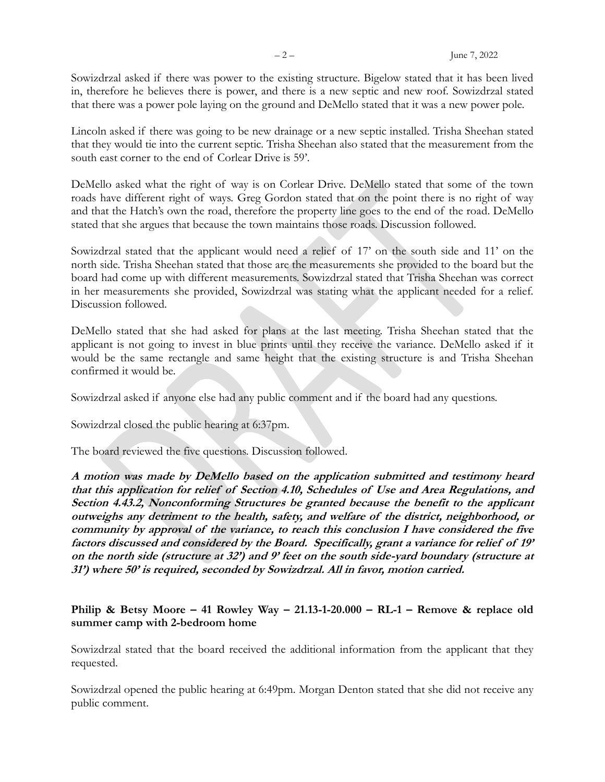Sowizdrzal asked if there was power to the existing structure. Bigelow stated that it has been lived in, therefore he believes there is power, and there is a new septic and new roof. Sowizdrzal stated that there was a power pole laying on the ground and DeMello stated that it was a new power pole.

Lincoln asked if there was going to be new drainage or a new septic installed. Trisha Sheehan stated that they would tie into the current septic. Trisha Sheehan also stated that the measurement from the south east corner to the end of Corlear Drive is 59'.

DeMello asked what the right of way is on Corlear Drive. DeMello stated that some of the town roads have different right of ways. Greg Gordon stated that on the point there is no right of way and that the Hatch's own the road, therefore the property line goes to the end of the road. DeMello stated that she argues that because the town maintains those roads. Discussion followed.

Sowizdrzal stated that the applicant would need a relief of 17' on the south side and 11' on the north side. Trisha Sheehan stated that those are the measurements she provided to the board but the board had come up with different measurements. Sowizdrzal stated that Trisha Sheehan was correct in her measurements she provided, Sowizdrzal was stating what the applicant needed for a relief. Discussion followed.

DeMello stated that she had asked for plans at the last meeting. Trisha Sheehan stated that the applicant is not going to invest in blue prints until they receive the variance. DeMello asked if it would be the same rectangle and same height that the existing structure is and Trisha Sheehan confirmed it would be.

Sowizdrzal asked if anyone else had any public comment and if the board had any questions.

Sowizdrzal closed the public hearing at 6:37pm.

The board reviewed the five questions. Discussion followed.

**A motion was made by DeMello based on the application submitted and testimony heard that this application for relief of Section 4.10, Schedules of Use and Area Regulations, and Section 4.43.2, Nonconforming Structures be granted because the benefit to the applicant outweighs any detriment to the health, safety, and welfare of the district, neighborhood, or community by approval of the variance, to reach this conclusion I have considered the five factors discussed and considered by the Board. Specifically, grant a variance for relief of 19' on the north side (structure at 32') and 9' feet on the south side-yard boundary (structure at 31') where 50' is required, seconded by Sowizdrzal. All in favor, motion carried.** 

## **Philip & Betsy Moore – 41 Rowley Way – 21.13-1-20.000 – RL-1 – Remove & replace old summer camp with 2-bedroom home**

Sowizdrzal stated that the board received the additional information from the applicant that they requested.

Sowizdrzal opened the public hearing at 6:49pm. Morgan Denton stated that she did not receive any public comment.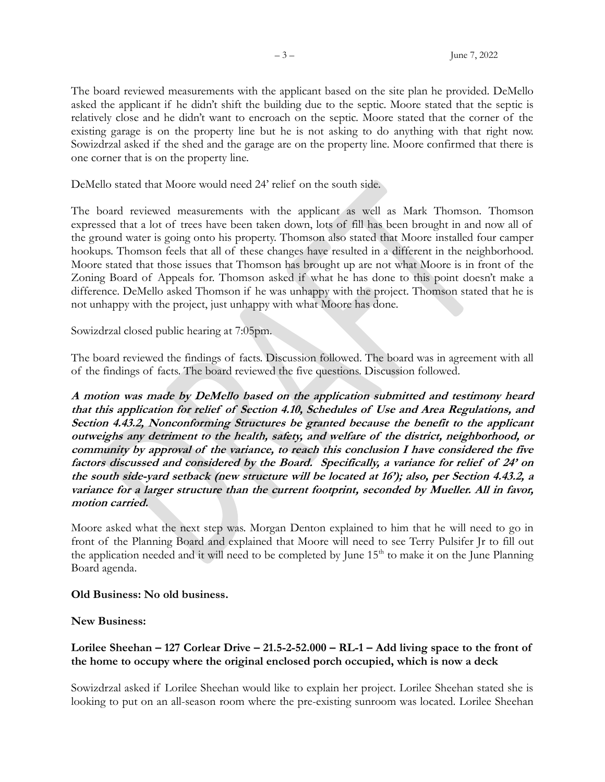The board reviewed measurements with the applicant based on the site plan he provided. DeMello asked the applicant if he didn't shift the building due to the septic. Moore stated that the septic is relatively close and he didn't want to encroach on the septic. Moore stated that the corner of the existing garage is on the property line but he is not asking to do anything with that right now. Sowizdrzal asked if the shed and the garage are on the property line. Moore confirmed that there is one corner that is on the property line.

DeMello stated that Moore would need 24' relief on the south side.

The board reviewed measurements with the applicant as well as Mark Thomson. Thomson expressed that a lot of trees have been taken down, lots of fill has been brought in and now all of the ground water is going onto his property. Thomson also stated that Moore installed four camper hookups. Thomson feels that all of these changes have resulted in a different in the neighborhood. Moore stated that those issues that Thomson has brought up are not what Moore is in front of the Zoning Board of Appeals for. Thomson asked if what he has done to this point doesn't make a difference. DeMello asked Thomson if he was unhappy with the project. Thomson stated that he is not unhappy with the project, just unhappy with what Moore has done.

Sowizdrzal closed public hearing at 7:05pm.

The board reviewed the findings of facts. Discussion followed. The board was in agreement with all of the findings of facts. The board reviewed the five questions. Discussion followed.

**A motion was made by DeMello based on the application submitted and testimony heard that this application for relief of Section 4.10, Schedules of Use and Area Regulations, and Section 4.43.2, Nonconforming Structures be granted because the benefit to the applicant outweighs any detriment to the health, safety, and welfare of the district, neighborhood, or community by approval of the variance, to reach this conclusion I have considered the five factors discussed and considered by the Board. Specifically, a variance for relief of 24' on the south side-yard setback (new structure will be located at 16'); also, per Section 4.43.2, a variance for a larger structure than the current footprint, seconded by Mueller. All in favor, motion carried.** 

Moore asked what the next step was. Morgan Denton explained to him that he will need to go in front of the Planning Board and explained that Moore will need to see Terry Pulsifer Jr to fill out the application needed and it will need to be completed by June 15<sup>th</sup> to make it on the June Planning Board agenda.

### **Old Business: No old business.**

**New Business:** 

## **Lorilee Sheehan – 127 Corlear Drive – 21.5-2-52.000 – RL-1 – Add living space to the front of the home to occupy where the original enclosed porch occupied, which is now a deck**

Sowizdrzal asked if Lorilee Sheehan would like to explain her project. Lorilee Sheehan stated she is looking to put on an all-season room where the pre-existing sunroom was located. Lorilee Sheehan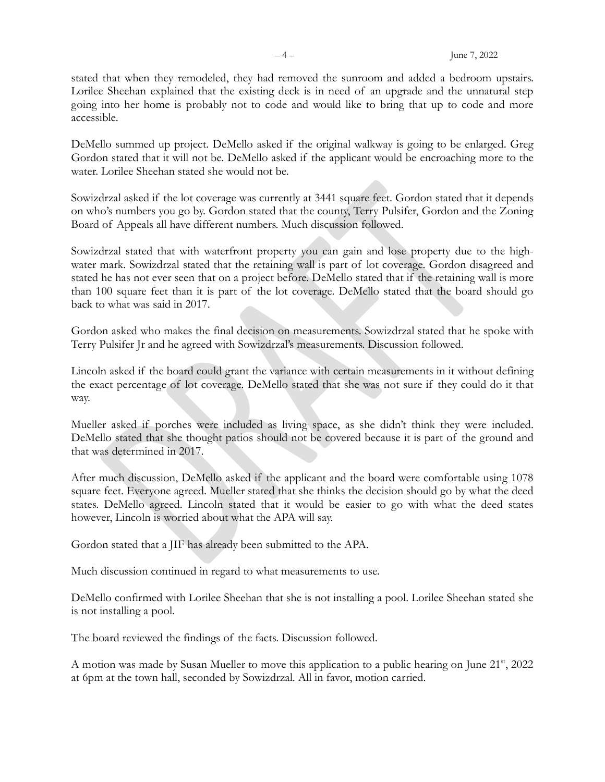stated that when they remodeled, they had removed the sunroom and added a bedroom upstairs. Lorilee Sheehan explained that the existing deck is in need of an upgrade and the unnatural step going into her home is probably not to code and would like to bring that up to code and more accessible.

DeMello summed up project. DeMello asked if the original walkway is going to be enlarged. Greg Gordon stated that it will not be. DeMello asked if the applicant would be encroaching more to the water. Lorilee Sheehan stated she would not be.

Sowizdrzal asked if the lot coverage was currently at 3441 square feet. Gordon stated that it depends on who's numbers you go by. Gordon stated that the county, Terry Pulsifer, Gordon and the Zoning Board of Appeals all have different numbers. Much discussion followed.

Sowizdrzal stated that with waterfront property you can gain and lose property due to the highwater mark. Sowizdrzal stated that the retaining wall is part of lot coverage. Gordon disagreed and stated he has not ever seen that on a project before. DeMello stated that if the retaining wall is more than 100 square feet than it is part of the lot coverage. DeMello stated that the board should go back to what was said in 2017.

Gordon asked who makes the final decision on measurements. Sowizdrzal stated that he spoke with Terry Pulsifer Jr and he agreed with Sowizdrzal's measurements. Discussion followed.

Lincoln asked if the board could grant the variance with certain measurements in it without defining the exact percentage of lot coverage. DeMello stated that she was not sure if they could do it that way.

Mueller asked if porches were included as living space, as she didn't think they were included. DeMello stated that she thought patios should not be covered because it is part of the ground and that was determined in 2017.

After much discussion, DeMello asked if the applicant and the board were comfortable using 1078 square feet. Everyone agreed. Mueller stated that she thinks the decision should go by what the deed states. DeMello agreed. Lincoln stated that it would be easier to go with what the deed states however, Lincoln is worried about what the APA will say.

Gordon stated that a JIF has already been submitted to the APA.

Much discussion continued in regard to what measurements to use.

DeMello confirmed with Lorilee Sheehan that she is not installing a pool. Lorilee Sheehan stated she is not installing a pool.

The board reviewed the findings of the facts. Discussion followed.

A motion was made by Susan Mueller to move this application to a public hearing on June 21<sup>st</sup>, 2022 at 6pm at the town hall, seconded by Sowizdrzal. All in favor, motion carried.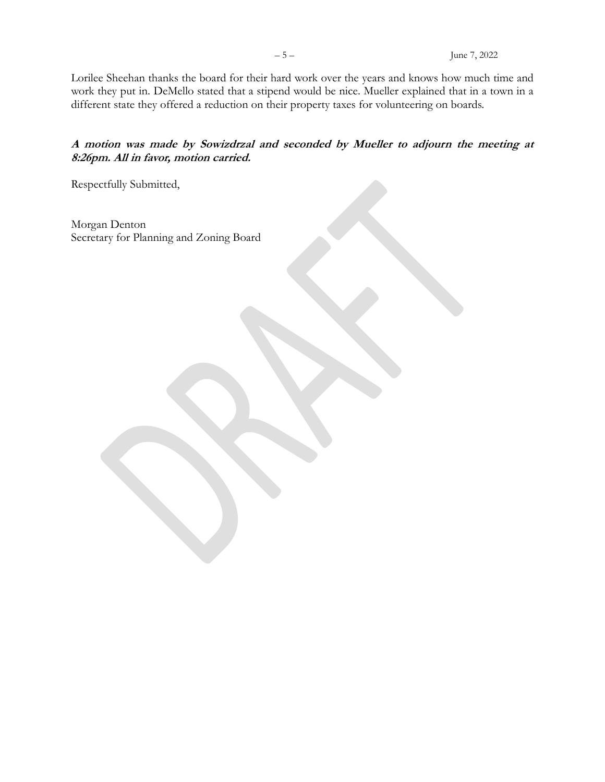Lorilee Sheehan thanks the board for their hard work over the years and knows how much time and work they put in. DeMello stated that a stipend would be nice. Mueller explained that in a town in a different state they offered a reduction on their property taxes for volunteering on boards.

## **A motion was made by Sowizdrzal and seconded by Mueller to adjourn the meeting at 8:26pm. All in favor, motion carried.**

Respectfully Submitted,

Morgan Denton Secretary for Planning and Zoning Board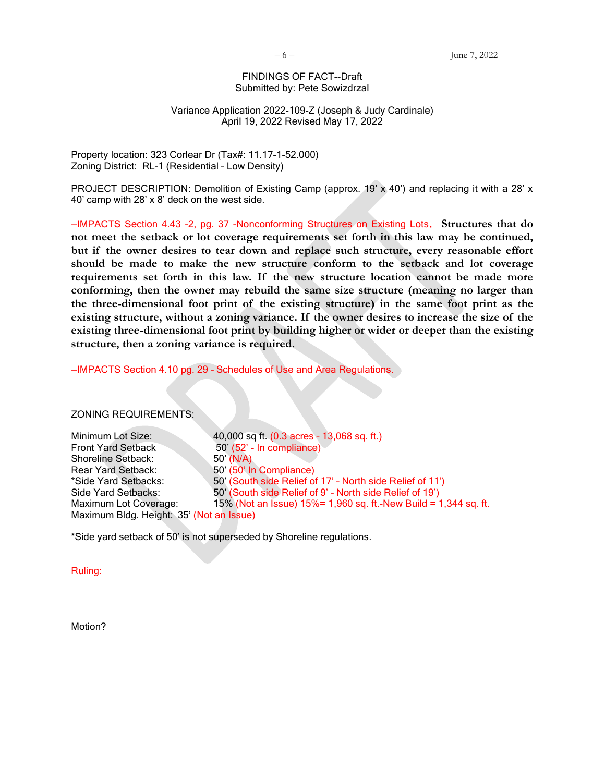#### FINDINGS OF FACT--Draft Submitted by: Pete Sowizdrzal

#### Variance Application 2022-109-Z (Joseph & Judy Cardinale) April 19, 2022 Revised May 17, 2022

Property location: 323 Corlear Dr (Tax#: 11.17-1-52.000) Zoning District: RL-1 (Residential – Low Density)

PROJECT DESCRIPTION: Demolition of Existing Camp (approx. 19' x 40') and replacing it with a 28' x 40' camp with 28' x 8' deck on the west side.

—IMPACTS Section 4.43 -2, pg. 37 -Nonconforming Structures on Existing Lots. **Structures that do not meet the setback or lot coverage requirements set forth in this law may be continued, but if the owner desires to tear down and replace such structure, every reasonable effort should be made to make the new structure conform to the setback and lot coverage requirements set forth in this law. If the new structure location cannot be made more conforming, then the owner may rebuild the same size structure (meaning no larger than the three-dimensional foot print of the existing structure) in the same foot print as the existing structure, without a zoning variance. If the owner desires to increase the size of the existing three-dimensional foot print by building higher or wider or deeper than the existing structure, then a zoning variance is required.**

—IMPACTS Section 4.10 pg. 29 – Schedules of Use and Area Regulations.

ZONING REQUIREMENTS:

Minimum Lot Size: 40,000 sq ft. (0.3 acres – 13,068 sq. ft.) Front Yard Setback 50' (52' - In compliance) Shoreline Setback: 50' (N/A) Rear Yard Setback: 50' (50' In Compliance) \*Side Yard Setbacks: 50' (South side Relief of 17' – North side Relief of 11') Side Yard Setbacks: 50' (South side Relief of 9' – North side Relief of 19') Maximum Lot Coverage: 15% (Not an Issue) 15%= 1,960 sq. ft.-New Build = 1,344 sq. ft. Maximum Bldg. Height: 35' (Not an Issue)

\*Side yard setback of 50' is not superseded by Shoreline regulations.

Ruling:

Motion?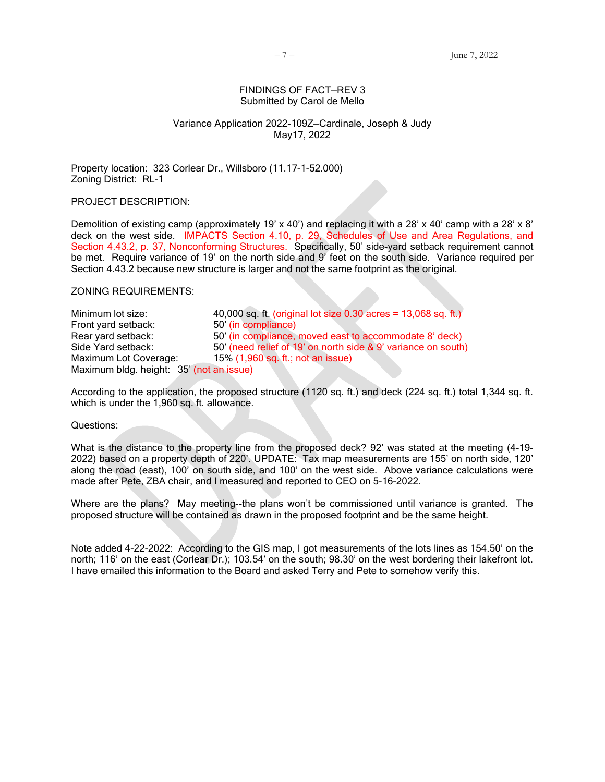#### FINDINGS OF FACT—REV 3 Submitted by Carol de Mello

#### Variance Application 2022-109Z—Cardinale, Joseph & Judy May17, 2022

Property location: 323 Corlear Dr., Willsboro (11.17-1-52.000) Zoning District: RL-1

PROJECT DESCRIPTION:

Demolition of existing camp (approximately 19' x 40') and replacing it with a 28' x 40' camp with a 28' x 8' deck on the west side. IMPACTS Section 4.10, p. 29, Schedules of Use and Area Regulations, and Section 4.43.2, p. 37, Nonconforming Structures. Specifically, 50' side-yard setback requirement cannot be met. Require variance of 19' on the north side and 9' feet on the south side. Variance required per Section 4.43.2 because new structure is larger and not the same footprint as the original.

ZONING REQUIREMENTS:

Minimum lot size:  $40,000$  sq. ft. (original lot size  $0.30$  acres = 13,068 sq. ft.) Front yard setback: 50' (in compliance) Rear yard setback: 50' (in compliance, moved east to accommodate 8' deck) Side Yard setback: 50' (need relief of 19' on north side & 9' variance on south) Maximum Lot Coverage: 15% (1,960 sq. ft.; not an issue) Maximum bldg. height: 35' (not an issue)

According to the application, the proposed structure (1120 sq. ft.) and deck (224 sq. ft.) total 1,344 sq. ft. which is under the 1,960 sq. ft. allowance.

Questions:

What is the distance to the property line from the proposed deck? 92' was stated at the meeting (4-19- 2022) based on a property depth of 220'. UPDATE: Tax map measurements are 155' on north side, 120' along the road (east), 100' on south side, and 100' on the west side. Above variance calculations were made after Pete, ZBA chair, and I measured and reported to CEO on 5-16-2022.

Where are the plans? May meeting--the plans won't be commissioned until variance is granted. The proposed structure will be contained as drawn in the proposed footprint and be the same height.

Note added 4-22-2022: According to the GIS map, I got measurements of the lots lines as 154.50' on the north; 116' on the east (Corlear Dr.); 103.54' on the south; 98.30' on the west bordering their lakefront lot. I have emailed this information to the Board and asked Terry and Pete to somehow verify this.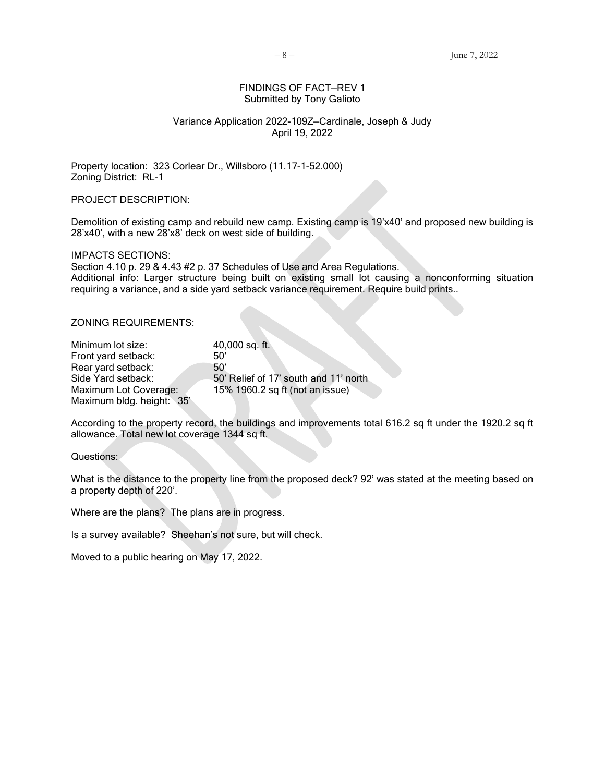#### FINDINGS OF FACT—REV 1 Submitted by Tony Galioto

#### Variance Application 2022-109Z—Cardinale, Joseph & Judy April 19, 2022

Property location: 323 Corlear Dr., Willsboro (11.17-1-52.000) Zoning District: RL-1

PROJECT DESCRIPTION:

Demolition of existing camp and rebuild new camp. Existing camp is 19'x40' and proposed new building is 28'x40', with a new 28'x8' deck on west side of building.

IMPACTS SECTIONS:

Section 4.10 p. 29 & 4.43 #2 p. 37 Schedules of Use and Area Regulations. Additional info: Larger structure being built on existing small lot causing a nonconforming situation requiring a variance, and a side yard setback variance requirement. Require build prints..

#### ZONING REQUIREMENTS:

| Minimum lot size:         | 40,000 sq. ft.                         |
|---------------------------|----------------------------------------|
| Front yard setback:       | 50'                                    |
| Rear yard setback:        | 50'                                    |
| Side Yard setback:        | 50' Relief of 17' south and 11' north. |
| Maximum Lot Coverage:     | 15% 1960.2 sq ft (not an issue)        |
| Maximum bldg. height: 35' |                                        |

According to the property record, the buildings and improvements total 616.2 sq ft under the 1920.2 sq ft allowance. Total new lot coverage 1344 sq ft.

Questions:

What is the distance to the property line from the proposed deck? 92' was stated at the meeting based on a property depth of 220'.

Where are the plans? The plans are in progress.

Is a survey available? Sheehan's not sure, but will check.

Moved to a public hearing on May 17, 2022.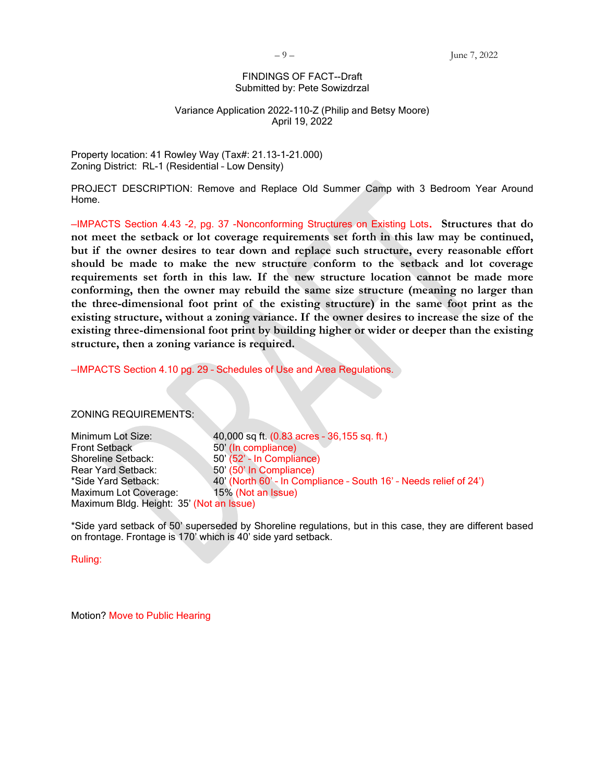#### FINDINGS OF FACT--Draft Submitted by: Pete Sowizdrzal

#### Variance Application 2022-110-Z (Philip and Betsy Moore) April 19, 2022

Property location: 41 Rowley Way (Tax#: 21.13-1-21.000) Zoning District: RL-1 (Residential – Low Density)

PROJECT DESCRIPTION: Remove and Replace Old Summer Camp with 3 Bedroom Year Around Home.

—IMPACTS Section 4.43 -2, pg. 37 -Nonconforming Structures on Existing Lots. **Structures that do not meet the setback or lot coverage requirements set forth in this law may be continued, but if the owner desires to tear down and replace such structure, every reasonable effort should be made to make the new structure conform to the setback and lot coverage requirements set forth in this law. If the new structure location cannot be made more conforming, then the owner may rebuild the same size structure (meaning no larger than the three-dimensional foot print of the existing structure) in the same foot print as the existing structure, without a zoning variance. If the owner desires to increase the size of the existing three-dimensional foot print by building higher or wider or deeper than the existing structure, then a zoning variance is required.**

—IMPACTS Section 4.10 pg. 29 – Schedules of Use and Area Regulations.

ZONING REQUIREMENTS:

Minimum Lot Size: 40,000 sq ft. (0.83 acres – 36,155 sq. ft.) Front Setback 50' (In compliance) Shoreline Setback: 50' (52' - In Compliance) Rear Yard Setback: 50' (50' In Compliance) \*Side Yard Setback: 40' (North 60' – In Compliance – South 16' – Needs relief of 24') Maximum Lot Coverage: 15% (Not an Issue) Maximum Bldg. Height: 35' (Not an Issue)

\*Side yard setback of 50' superseded by Shoreline regulations, but in this case, they are different based on frontage. Frontage is 170' which is 40' side yard setback.

Ruling:

Motion? Move to Public Hearing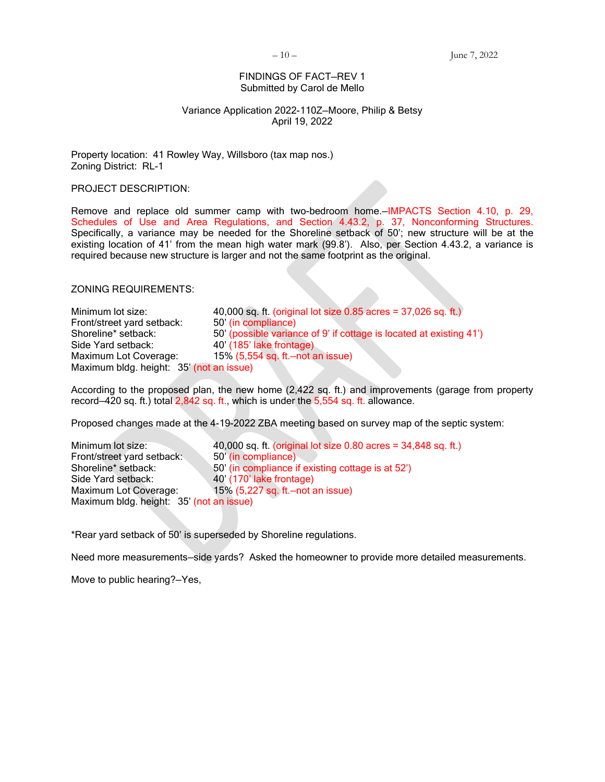#### FINDINGS OF FACT—REV 1 Submitted by Carol de Mello

#### Variance Application 2022-110Z—Moore, Philip & Betsy April 19, 2022

Property location: 41 Rowley Way, Willsboro (tax map nos.) Zoning District: RL-1

PROJECT DESCRIPTION:

Remove and replace old summer camp with two-bedroom home.—IMPACTS Section 4.10, p. 29, Schedules of Use and Area Regulations, and Section 4.43.2, p. 37, Nonconforming Structures. Specifically, a variance may be needed for the Shoreline setback of 50'; new structure will be at the existing location of 41' from the mean high water mark (99.8'). Also, per Section 4.43.2, a variance is required because new structure is larger and not the same footprint as the original.

ZONING REQUIREMENTS:

Minimum lot size:  $40,000$  sq. ft. (original lot size 0.85 acres = 37,026 sq. ft.)<br>Front/street vard setback:  $50'$  (in compliance) Front/street yard setback: Shoreline\* setback: 50' (possible variance of 9' if cottage is located at existing 41') Side Yard setback: 40' (185' lake frontage) Maximum Lot Coverage: 15% (5,554 sq. ft.—not an issue) Maximum bldg. height: 35' (not an issue)

According to the proposed plan, the new home (2,422 sq. ft.) and improvements (garage from property record—420 sq. ft.) total 2,842 sq. ft., which is under the 5,554 sq. ft. allowance.

Proposed changes made at the 4-19-2022 ZBA meeting based on survey map of the septic system:

Minimum lot size: 40,000 sq. ft. (original lot size 0.80 acres = 34,848 sq. ft.) Front/street yard setback: 50<sup>'</sup> (in compliance) Shoreline\* setback: 50' (in compliance if existing cottage is at 52') Side Yard setback: 40' (170' lake frontage) Maximum Lot Coverage: 15% (5,227 sq. ft.-not an issue) Maximum bldg. height: 35' (not an issue)

\*Rear yard setback of 50' is superseded by Shoreline regulations.

Need more measurements—side yards? Asked the homeowner to provide more detailed measurements.

Move to public hearing?—Yes,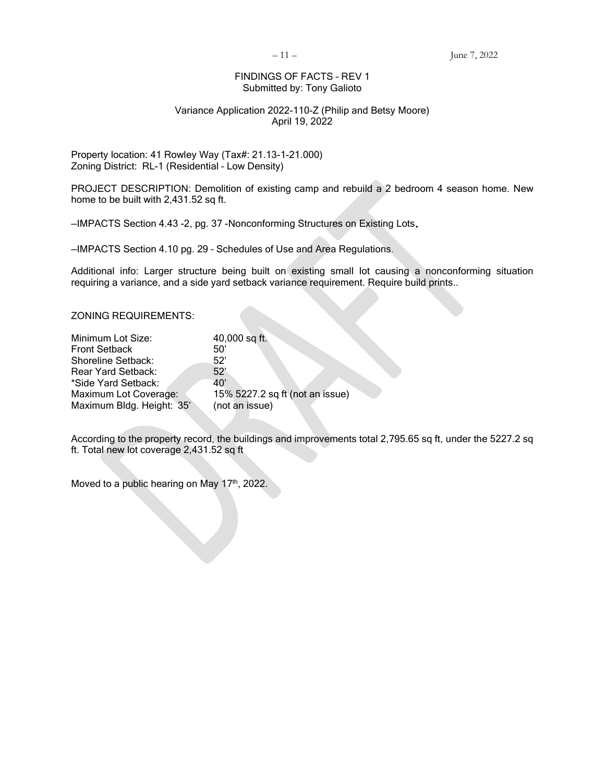#### FINDINGS OF FACTS – REV 1 Submitted by: Tony Galioto

#### Variance Application 2022-110-Z (Philip and Betsy Moore) April 19, 2022

Property location: 41 Rowley Way (Tax#: 21.13-1-21.000) Zoning District: RL-1 (Residential – Low Density)

PROJECT DESCRIPTION: Demolition of existing camp and rebuild a 2 bedroom 4 season home. New home to be built with 2,431.52 sq ft.

—IMPACTS Section 4.43 -2, pg. 37 -Nonconforming Structures on Existing Lots.

—IMPACTS Section 4.10 pg. 29 – Schedules of Use and Area Regulations.

Additional info: Larger structure being built on existing small lot causing a nonconforming situation requiring a variance, and a side yard setback variance requirement. Require build prints..

ZONING REQUIREMENTS:

| 40,000 sq ft.                   |
|---------------------------------|
| 50'                             |
| 52'                             |
| 52'                             |
| 40'                             |
| 15% 5227.2 sq ft (not an issue) |
| (not an issue)                  |
|                                 |

According to the property record, the buildings and improvements total 2,795.65 sq ft, under the 5227.2 sq ft. Total new lot coverage 2,431.52 sq ft

Moved to a public hearing on May 17<sup>th</sup>, 2022.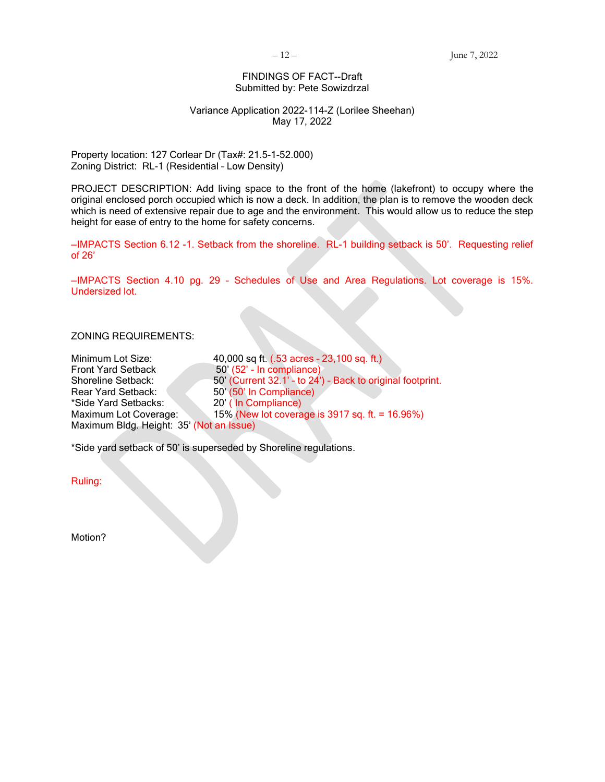#### FINDINGS OF FACT--Draft Submitted by: Pete Sowizdrzal

#### Variance Application 2022-114-Z (Lorilee Sheehan) May 17, 2022

Property location: 127 Corlear Dr (Tax#: 21.5-1-52.000) Zoning District: RL-1 (Residential – Low Density)

PROJECT DESCRIPTION: Add living space to the front of the home (lakefront) to occupy where the original enclosed porch occupied which is now a deck. In addition, the plan is to remove the wooden deck which is need of extensive repair due to age and the environment. This would allow us to reduce the step height for ease of entry to the home for safety concerns.

—IMPACTS Section 6.12 -1. Setback from the shoreline. RL-1 building setback is 50'. Requesting relief of 26'

—IMPACTS Section 4.10 pg. 29 – Schedules of Use and Area Regulations. Lot coverage is 15%. Undersized lot.

#### ZONING REQUIREMENTS:

| Minimum Lot Size:                        | 40,000 sq ft. (.53 acres - 23,100 sq. ft.)                 |
|------------------------------------------|------------------------------------------------------------|
| <b>Front Yard Setback</b>                | 50' (52' - In compliance)                                  |
| <b>Shoreline Setback:</b>                | 50' (Current 32.1' - to 24') - Back to original footprint. |
| Rear Yard Setback:                       | 50' (50' In Compliance)                                    |
| *Side Yard Setbacks:                     | 20' (In Compliance)                                        |
| Maximum Lot Coverage:                    | 15% (New lot coverage is 3917 sq. ft. = 16.96%)            |
| Maximum Bldg. Height: 35' (Not an Issue) |                                                            |

\*Side yard setback of 50' is superseded by Shoreline regulations.

Ruling:

Motion?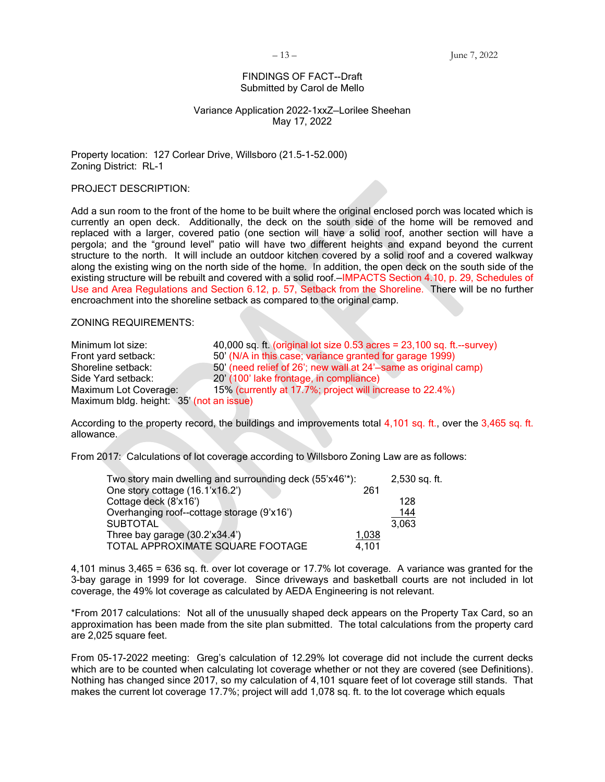#### FINDINGS OF FACT--Draft Submitted by Carol de Mello

#### Variance Application 2022-1xxZ—Lorilee Sheehan May 17, 2022

Property location: 127 Corlear Drive, Willsboro (21.5-1-52.000) Zoning District: RL-1

PROJECT DESCRIPTION:

Add a sun room to the front of the home to be built where the original enclosed porch was located which is currently an open deck. Additionally, the deck on the south side of the home will be removed and replaced with a larger, covered patio (one section will have a solid roof, another section will have a pergola; and the "ground level" patio will have two different heights and expand beyond the current structure to the north. It will include an outdoor kitchen covered by a solid roof and a covered walkway along the existing wing on the north side of the home. In addition, the open deck on the south side of the existing structure will be rebuilt and covered with a solid roof.—IMPACTS Section 4.10, p. 29, Schedules of Use and Area Regulations and Section 6.12, p. 57, Setback from the Shoreline. There will be no further encroachment into the shoreline setback as compared to the original camp.

ZONING REQUIREMENTS:

| Minimum lot size:                        | 40,000 sq. ft. (original lot size $0.53$ acres = $23,100$ sq. ft.--survey) |
|------------------------------------------|----------------------------------------------------------------------------|
| Front yard setback:                      | 50' (N/A in this case; variance granted for garage 1999)                   |
| Shoreline setback:                       | 50' (need relief of 26'; new wall at 24'-same as original camp)            |
| Side Yard setback:                       | 20' (100' lake frontage, in compliance)                                    |
| Maximum Lot Coverage:                    | 15% (currently at 17.7%; project will increase to 22.4%)                   |
| Maximum bldg. height: 35' (not an issue) |                                                                            |

According to the property record, the buildings and improvements total 4,101 sq. ft., over the 3,465 sq. ft. allowance.

From 2017: Calculations of lot coverage according to Willsboro Zoning Law are as follows:

| Two story main dwelling and surrounding deck (55'x46'*): |       | 2,530 sq. ft. |
|----------------------------------------------------------|-------|---------------|
| One story cottage (16.1'x16.2')                          | 261   |               |
| Cottage deck (8'x16')                                    |       | 128           |
| Overhanging roof--cottage storage (9'x16')               |       | 144           |
| <b>SUBTOTAL</b>                                          |       | 3.063         |
| Three bay garage (30.2'x34.4')                           | 1,038 |               |
| TOTAL APPROXIMATE SQUARE FOOTAGE                         | 4,101 |               |

4,101 minus 3,465 = 636 sq. ft. over lot coverage or 17.7% lot coverage. A variance was granted for the 3-bay garage in 1999 for lot coverage. Since driveways and basketball courts are not included in lot coverage, the 49% lot coverage as calculated by AEDA Engineering is not relevant.

\*From 2017 calculations: Not all of the unusually shaped deck appears on the Property Tax Card, so an approximation has been made from the site plan submitted. The total calculations from the property card are 2,025 square feet.

From 05-17-2022 meeting: Greg's calculation of 12.29% lot coverage did not include the current decks which are to be counted when calculating lot coverage whether or not they are covered (see Definitions). Nothing has changed since 2017, so my calculation of 4,101 square feet of lot coverage still stands. That makes the current lot coverage 17.7%; project will add 1,078 sq. ft. to the lot coverage which equals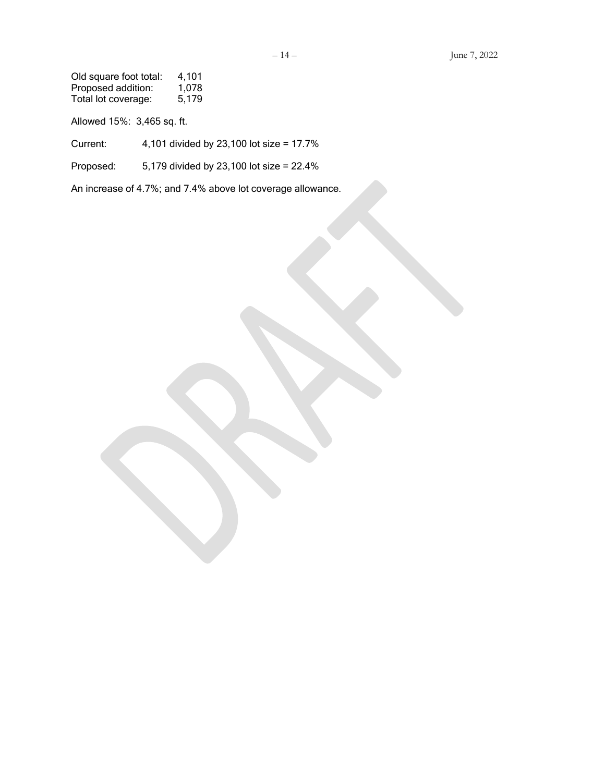Old square foot total: 4,101 Proposed addition: 1,078 Total lot coverage: 5,179

Allowed 15%: 3,465 sq. ft.

Current: 4,101 divided by 23,100 lot size = 17.7%

Proposed: 5,179 divided by 23,100 lot size = 22.4%

An increase of 4.7%; and 7.4% above lot coverage allowance.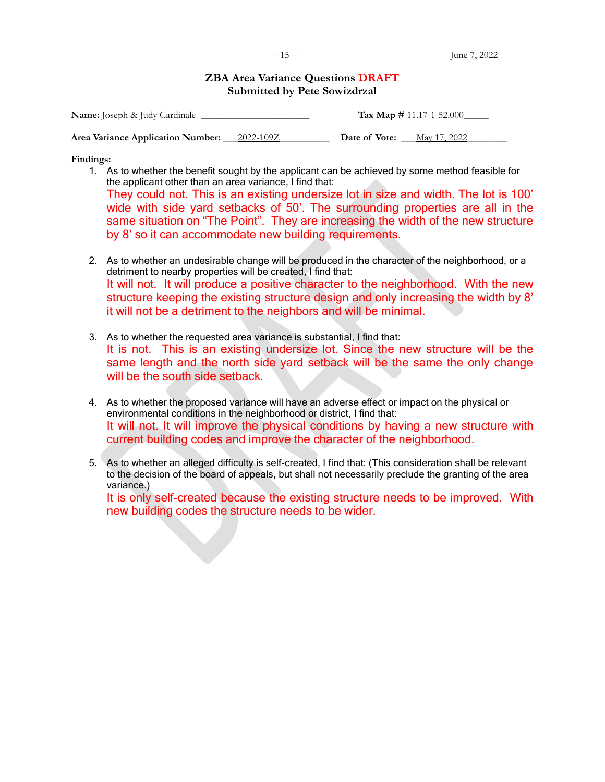## **ZBA Area Variance Questions DRAFT Submitted by Pete Sowizdrzal**

| <b>Name:</b> Joseph & Judy Cardinale        |  | Tax Map $\#$ 11.17-1-52.000 |              |
|---------------------------------------------|--|-----------------------------|--------------|
| Area Variance Application Number: 2022-109Z |  | Date of Vote:               | May 17, 2022 |

**Findings:**

1. As to whether the benefit sought by the applicant can be achieved by some method feasible for the applicant other than an area variance, I find that:

They could not. This is an existing undersize lot in size and width. The lot is 100' wide with side yard setbacks of 50'. The surrounding properties are all in the same situation on "The Point". They are increasing the width of the new structure by 8' so it can accommodate new building requirements.

- 2. As to whether an undesirable change will be produced in the character of the neighborhood, or a detriment to nearby properties will be created, I find that: It will not. It will produce a positive character to the neighborhood. With the new structure keeping the existing structure design and only increasing the width by 8' it will not be a detriment to the neighbors and will be minimal.
- 3. As to whether the requested area variance is substantial, I find that: It is not. This is an existing undersize lot. Since the new structure will be the same length and the north side yard setback will be the same the only change will be the south side setback.
- 4. As to whether the proposed variance will have an adverse effect or impact on the physical or environmental conditions in the neighborhood or district, I find that: It will not. It will improve the physical conditions by having a new structure with current building codes and improve the character of the neighborhood.
- 5. As to whether an alleged difficulty is self-created, I find that: (This consideration shall be relevant to the decision of the board of appeals, but shall not necessarily preclude the granting of the area variance.)

It is only self-created because the existing structure needs to be improved. With new building codes the structure needs to be wider.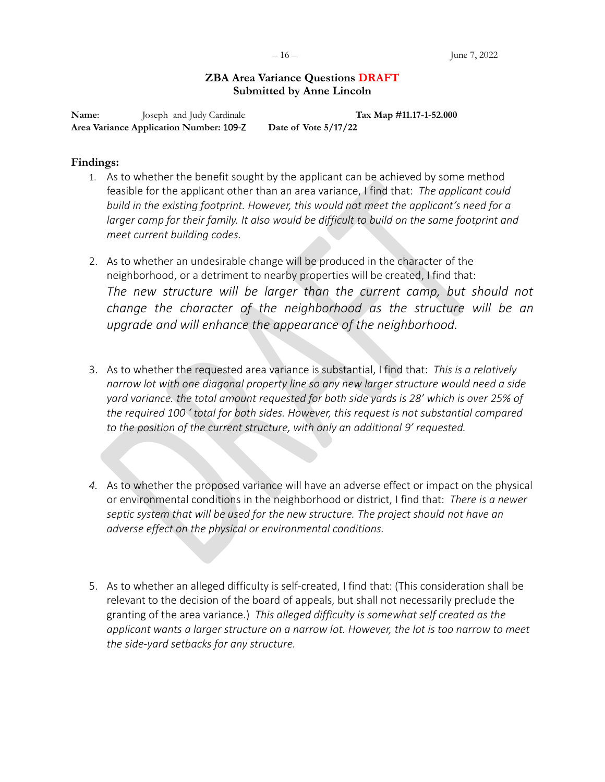## **ZBA Area Variance Questions DRAFT Submitted by Anne Lincoln**

**Name:** Joseph and Judy Cardinale **Tax Map #11.17-1-52.000 Area Variance Application Number:** 109-Z **Date of Vote 5/17/22**

### **Findings:**

- 1. As to whether the benefit sought by the applicant can be achieved by some method feasible for the applicant other than an area variance, I find that: *The applicant could build in the existing footprint. However, this would not meet the applicant's need for a*  larger camp for their family. It also would be difficult to build on the same footprint and *meet current building codes.*
- 2. As to whether an undesirable change will be produced in the character of the neighborhood, or a detriment to nearby properties will be created, I find that: The new structure will be larger than the current camp, but should not *change the character of the neighborhood as the structure will be an upgrade and will enhance the appearance of the neighborhood.*
- 3. As to whether the requested area variance is substantial, I find that: *This is a relatively narrow lot with one diagonal property line so any new larger structure would need a side yard variance. the total amount requested for both side yards is 28' which is over 25% of the required 100 ' total for both sides. However, this request is not substantial compared to the position of the current structure, with only an additional 9' requested.*
- *4.* As to whether the proposed variance will have an adverse effect or impact on the physical or environmental conditions in the neighborhood or district, I find that: *There is a newer septic system that will be used for the new structure. The project should not have an adverse effect on the physical or environmental conditions.*
- 5. As to whether an alleged difficulty is self-created, I find that: (This consideration shall be relevant to the decision of the board of appeals, but shall not necessarily preclude the granting of the area variance.) *This alleged difficulty is somewhat self created as the applicant wants a larger structure on a narrow lot. However, the lot is too narrow to meet the side-yard setbacks for any structure.*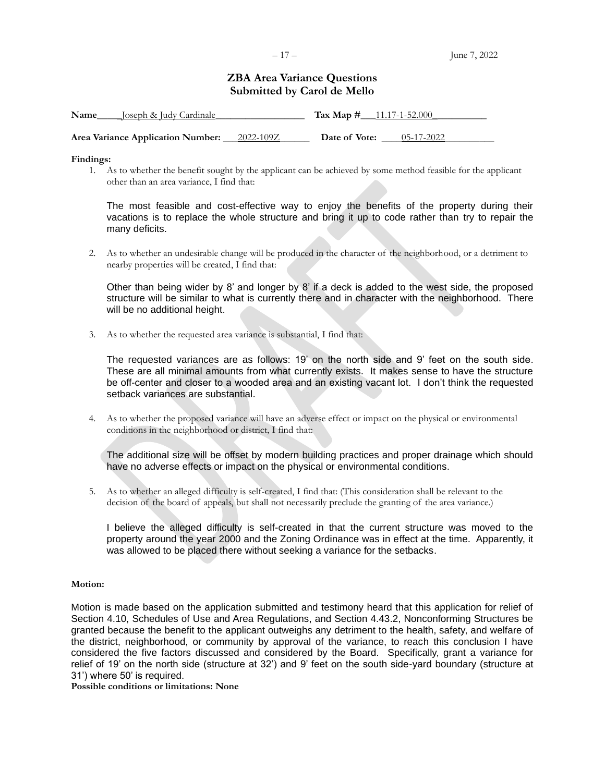## **ZBA Area Variance Questions Submitted by Carol de Mello**

| Name<br>Joseph & Judy Cardinale   |           | Tax Map $\#$ 11.17-1-52.000 |            |  |
|-----------------------------------|-----------|-----------------------------|------------|--|
| Area Variance Application Number: | 2022-109Z | Date of Vote:               | 05-17-2022 |  |

**Findings:**

1. As to whether the benefit sought by the applicant can be achieved by some method feasible for the applicant other than an area variance, I find that:

The most feasible and cost-effective way to enjoy the benefits of the property during their vacations is to replace the whole structure and bring it up to code rather than try to repair the many deficits.

2. As to whether an undesirable change will be produced in the character of the neighborhood, or a detriment to nearby properties will be created, I find that:

Other than being wider by 8' and longer by 8' if a deck is added to the west side, the proposed structure will be similar to what is currently there and in character with the neighborhood. There will be no additional height.

3. As to whether the requested area variance is substantial, I find that:

The requested variances are as follows: 19' on the north side and 9' feet on the south side. These are all minimal amounts from what currently exists. It makes sense to have the structure be off-center and closer to a wooded area and an existing vacant lot. I don't think the requested setback variances are substantial.

4. As to whether the proposed variance will have an adverse effect or impact on the physical or environmental conditions in the neighborhood or district, I find that:

The additional size will be offset by modern building practices and proper drainage which should have no adverse effects or impact on the physical or environmental conditions.

5. As to whether an alleged difficulty is self-created, I find that: (This consideration shall be relevant to the decision of the board of appeals, but shall not necessarily preclude the granting of the area variance.)

I believe the alleged difficulty is self-created in that the current structure was moved to the property around the year 2000 and the Zoning Ordinance was in effect at the time. Apparently, it was allowed to be placed there without seeking a variance for the setbacks.

#### **Motion:**

Motion is made based on the application submitted and testimony heard that this application for relief of Section 4.10, Schedules of Use and Area Regulations, and Section 4.43.2, Nonconforming Structures be granted because the benefit to the applicant outweighs any detriment to the health, safety, and welfare of the district, neighborhood, or community by approval of the variance, to reach this conclusion I have considered the five factors discussed and considered by the Board. Specifically, grant a variance for relief of 19' on the north side (structure at 32') and 9' feet on the south side-yard boundary (structure at 31') where 50' is required.

**Possible conditions or limitations: None**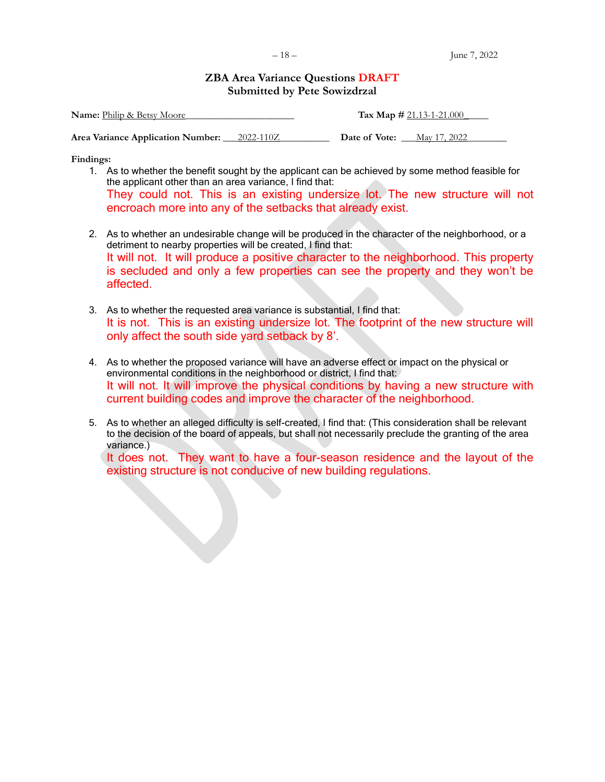## **ZBA Area Variance Questions DRAFT Submitted by Pete Sowizdrzal**

| <b>Name:</b> Philip & Betsy Moore   |           | Tax Map $\# 21.13 - 1 - 21.000$ |              |
|-------------------------------------|-----------|---------------------------------|--------------|
| Area Variance Application Number: _ | 2022-110Z | Date of Vote:                   | May 17, 2022 |

**Findings:**

- 1. As to whether the benefit sought by the applicant can be achieved by some method feasible for the applicant other than an area variance, I find that: They could not. This is an existing undersize lot. The new structure will not encroach more into any of the setbacks that already exist.
- 2. As to whether an undesirable change will be produced in the character of the neighborhood, or a detriment to nearby properties will be created, I find that: It will not. It will produce a positive character to the neighborhood. This property is secluded and only a few properties can see the property and they won't be affected.
- 3. As to whether the requested area variance is substantial, I find that: It is not. This is an existing undersize lot. The footprint of the new structure will only affect the south side yard setback by 8'.
- 4. As to whether the proposed variance will have an adverse effect or impact on the physical or environmental conditions in the neighborhood or district, I find that: It will not. It will improve the physical conditions by having a new structure with current building codes and improve the character of the neighborhood.
- 5. As to whether an alleged difficulty is self-created, I find that: (This consideration shall be relevant to the decision of the board of appeals, but shall not necessarily preclude the granting of the area variance.)

It does not. They want to have a four-season residence and the layout of the existing structure is not conducive of new building regulations.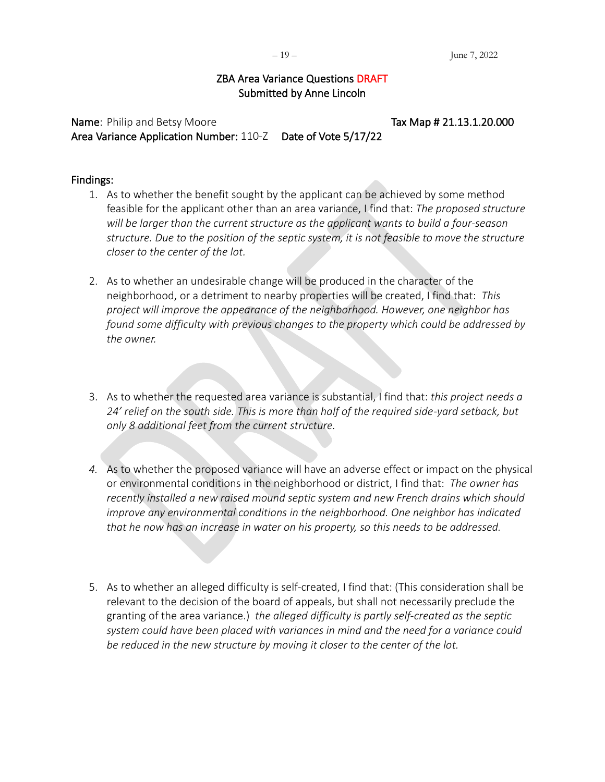## ZBA Area Variance Questions DRAFT Submitted by Anne Lincoln

Name: Philip and Betsy Moore Name and Betsy Moore Tax Map # 21.13.1.20.000 Area Variance Application Number: 110-Z Date of Vote 5/17/22

## Findings:

- 1. As to whether the benefit sought by the applicant can be achieved by some method feasible for the applicant other than an area variance, I find that: *The proposed structure will be larger than the current structure as the applicant wants to build a four-season structure. Due to the position of the septic system, it is not feasible to move the structure closer to the center of the lot.*
- 2. As to whether an undesirable change will be produced in the character of the neighborhood, or a detriment to nearby properties will be created, I find that: *This project will improve the appearance of the neighborhood. However, one neighbor has found some difficulty with previous changes to the property which could be addressed by the owner.*
- 3. As to whether the requested area variance is substantial, I find that: *this project needs a 24' relief on the south side. This is more than half of the required side-yard setback, but only 8 additional feet from the current structure.*
- *4.* As to whether the proposed variance will have an adverse effect or impact on the physical or environmental conditions in the neighborhood or district, I find that: *The owner has recently installed a new raised mound septic system and new French drains which should improve any environmental conditions in the neighborhood. One neighbor has indicated that he now has an increase in water on his property, so this needs to be addressed.*
- 5. As to whether an alleged difficulty is self-created, I find that: (This consideration shall be relevant to the decision of the board of appeals, but shall not necessarily preclude the granting of the area variance.) *the alleged difficulty is partly self-created as the septic system could have been placed with variances in mind and the need for a variance could be reduced in the new structure by moving it closer to the center of the lot.*